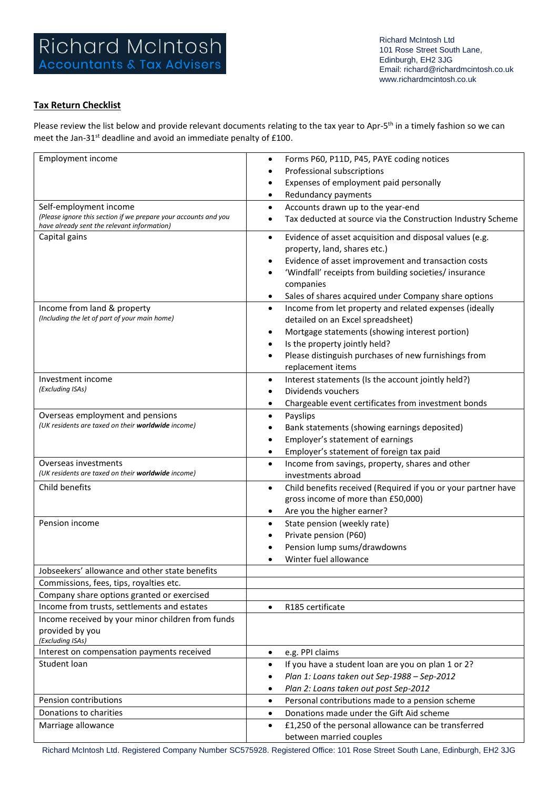## **Tax Return Checklist**

Please review the list below and provide relevant documents relating to the tax year to Apr-5<sup>th</sup> in a timely fashion so we can meet the Jan-31<sup>st</sup> deadline and avoid an immediate penalty of £100.

| <b>Employment income</b>                                        | Forms P60, P11D, P45, PAYE coding notices<br>$\bullet$                     |
|-----------------------------------------------------------------|----------------------------------------------------------------------------|
|                                                                 | Professional subscriptions                                                 |
|                                                                 | Expenses of employment paid personally                                     |
|                                                                 | Redundancy payments<br>٠                                                   |
| Self-employment income                                          | Accounts drawn up to the year-end<br>$\bullet$                             |
| (Please ignore this section if we prepare your accounts and you | Tax deducted at source via the Construction Industry Scheme                |
| have already sent the relevant information)                     |                                                                            |
| Capital gains                                                   | Evidence of asset acquisition and disposal values (e.g.<br>$\bullet$       |
|                                                                 | property, land, shares etc.)                                               |
|                                                                 | Evidence of asset improvement and transaction costs                        |
|                                                                 | 'Windfall' receipts from building societies/ insurance                     |
|                                                                 | companies                                                                  |
|                                                                 | Sales of shares acquired under Company share options                       |
| Income from land & property                                     | Income from let property and related expenses (ideally<br>$\bullet$        |
| (Including the let of part of your main home)                   | detailed on an Excel spreadsheet)                                          |
|                                                                 | Mortgage statements (showing interest portion)<br>$\bullet$                |
|                                                                 | Is the property jointly held?                                              |
|                                                                 | Please distinguish purchases of new furnishings from                       |
|                                                                 | replacement items                                                          |
| Investment income                                               | Interest statements (Is the account jointly held?)<br>$\bullet$            |
| (Excluding ISAs)                                                | Dividends vouchers                                                         |
|                                                                 | Chargeable event certificates from investment bonds<br>$\bullet$           |
| Overseas employment and pensions                                | Payslips<br>$\bullet$                                                      |
| (UK residents are taxed on their worldwide income)              | Bank statements (showing earnings deposited)                               |
|                                                                 | Employer's statement of earnings                                           |
|                                                                 | Employer's statement of foreign tax paid<br>$\bullet$                      |
| Overseas investments                                            | Income from savings, property, shares and other<br>$\bullet$               |
| (UK residents are taxed on their worldwide income)              | investments abroad                                                         |
| Child benefits                                                  | Child benefits received (Required if you or your partner have<br>$\bullet$ |
|                                                                 | gross income of more than £50,000)                                         |
|                                                                 | Are you the higher earner?<br>$\bullet$                                    |
| Pension income                                                  | State pension (weekly rate)<br>$\bullet$                                   |
|                                                                 | Private pension (P60)                                                      |
|                                                                 | Pension lump sums/drawdowns                                                |
|                                                                 | Winter fuel allowance                                                      |
| Jobseekers' allowance and other state benefits                  |                                                                            |
| Commissions, fees, tips, royalties etc.                         |                                                                            |
| Company share options granted or exercised                      |                                                                            |
| Income from trusts, settlements and estates                     | R185 certificate<br>$\bullet$                                              |
| Income received by your minor children from funds               |                                                                            |
| provided by you                                                 |                                                                            |
| (Excluding ISAs)                                                |                                                                            |
| Interest on compensation payments received                      | e.g. PPI claims<br>$\bullet$                                               |
| Student loan                                                    | If you have a student loan are you on plan 1 or 2?<br>$\bullet$            |
|                                                                 | Plan 1: Loans taken out Sep-1988 - Sep-2012                                |
|                                                                 | Plan 2: Loans taken out post Sep-2012<br>٠                                 |
| Pension contributions                                           | Personal contributions made to a pension scheme<br>$\bullet$               |
| Donations to charities                                          | Donations made under the Gift Aid scheme<br>$\bullet$                      |
| Marriage allowance                                              | £1,250 of the personal allowance can be transferred<br>$\bullet$           |
|                                                                 | between married couples                                                    |

Richard McIntosh Ltd. Registered Company Number SC575928. Registered Office: 101 Rose Street South Lane, Edinburgh, EH2 3JG